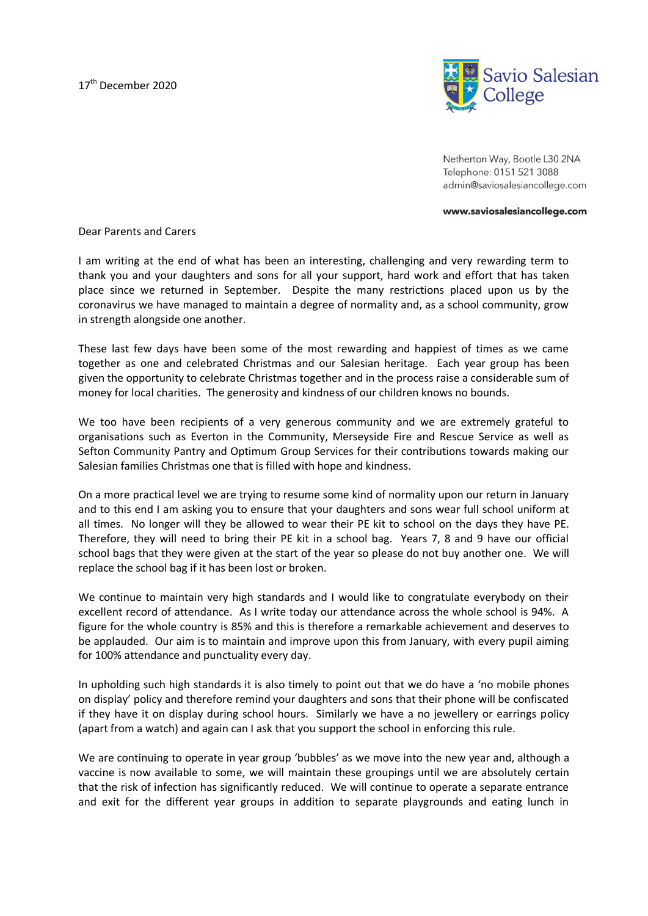

Netherton Way, Bootle L30 2NA Telephone: 0151 521 3088 admin@saviosalesiancollege.com

www.saviosalesiancollege.com

Dear Parents and Carers

I am writing at the end of what has been an interesting, challenging and very rewarding term to thank you and your daughters and sons for all your support, hard work and effort that has taken place since we returned in September. Despite the many restrictions placed upon us by the coronavirus we have managed to maintain a degree of normality and, as a school community, grow in strength alongside one another.

These last few days have been some of the most rewarding and happiest of times as we came together as one and celebrated Christmas and our Salesian heritage. Each year group has been given the opportunity to celebrate Christmas together and in the process raise a considerable sum of money for local charities. The generosity and kindness of our children knows no bounds.

We too have been recipients of a very generous community and we are extremely grateful to organisations such as Everton in the Community, Merseyside Fire and Rescue Service as well as Sefton Community Pantry and Optimum Group Services for their contributions towards making our Salesian families Christmas one that is filled with hope and kindness.

On a more practical level we are trying to resume some kind of normality upon our return in January and to this end I am asking you to ensure that your daughters and sons wear full school uniform at all times. No longer will they be allowed to wear their PE kit to school on the days they have PE. Therefore, they will need to bring their PE kit in a school bag. Years 7, 8 and 9 have our official school bags that they were given at the start of the year so please do not buy another one. We will replace the school bag if it has been lost or broken.

We continue to maintain very high standards and I would like to congratulate everybody on their excellent record of attendance. As I write today our attendance across the whole school is 94%. A figure for the whole country is 85% and this is therefore a remarkable achievement and deserves to be applauded. Our aim is to maintain and improve upon this from January, with every pupil aiming for 100% attendance and punctuality every day.

In upholding such high standards it is also timely to point out that we do have a 'no mobile phones on display' policy and therefore remind your daughters and sons that their phone will be confiscated if they have it on display during school hours. Similarly we have a no jewellery or earrings policy (apart from a watch) and again can I ask that you support the school in enforcing this rule.

We are continuing to operate in year group 'bubbles' as we move into the new year and, although a vaccine is now available to some, we will maintain these groupings until we are absolutely certain that the risk of infection has significantly reduced. We will continue to operate a separate entrance and exit for the different year groups in addition to separate playgrounds and eating lunch in